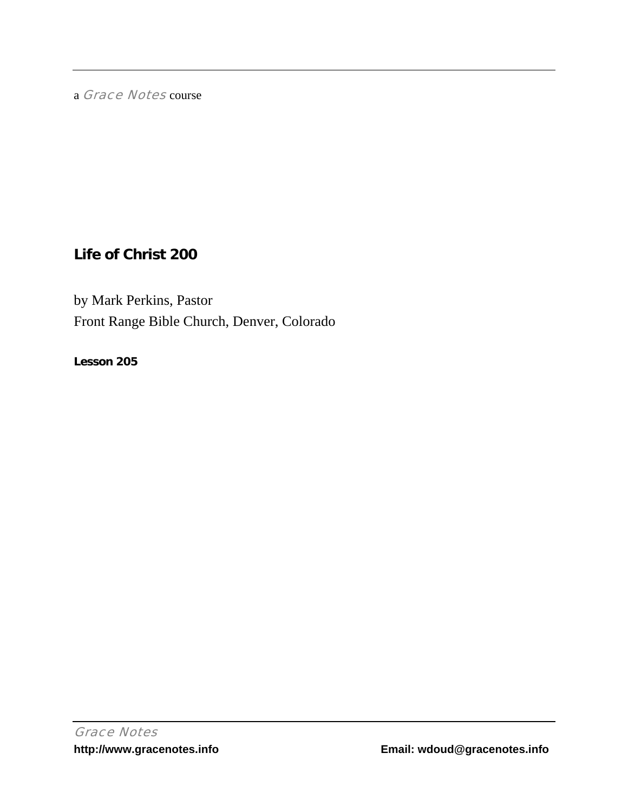a Grace Notes course

# **Life of Christ 200**

by Mark Perkins, Pastor Front Range Bible Church, Denver, Colorado

**Lesson 205**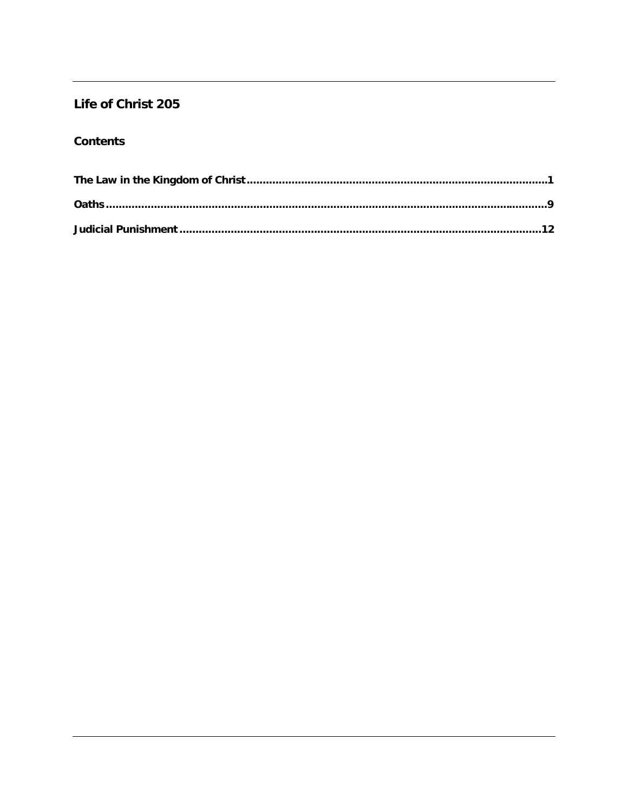## Life of Christ 205

### **Contents**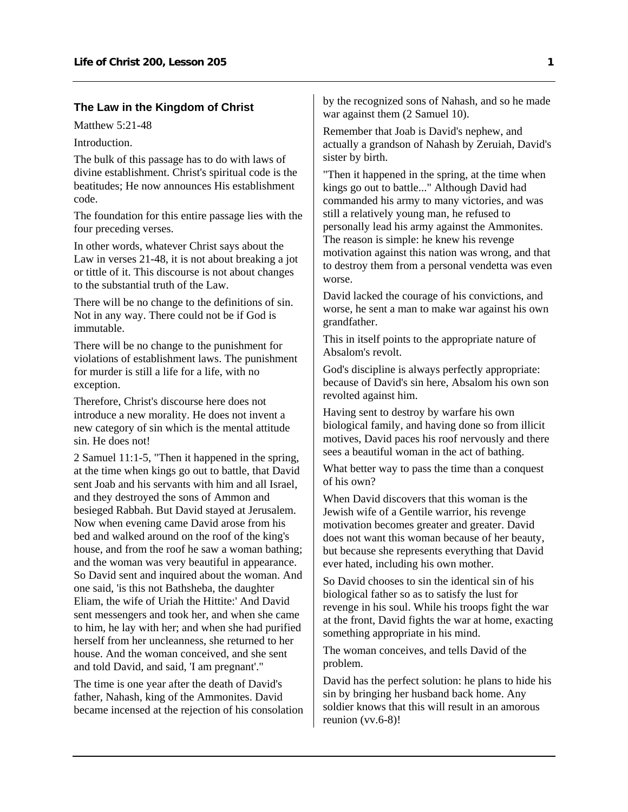#### <span id="page-2-0"></span>**The Law in the Kingdom of Christ**

Matthew 5:21-48

Introduction.

The bulk of this passage has to do with laws of divine establishment. Christ's spiritual code is the beatitudes; He now announces His establishment code.

The foundation for this entire passage lies with the four preceding verses.

In other words, whatever Christ says about the Law in verses 21-48, it is not about breaking a jot or tittle of it. This discourse is not about changes to the substantial truth of the Law.

There will be no change to the definitions of sin. Not in any way. There could not be if God is immutable.

There will be no change to the punishment for violations of establishment laws. The punishment for murder is still a life for a life, with no exception.

Therefore, Christ's discourse here does not introduce a new morality. He does not invent a new category of sin which is the mental attitude sin. He does not!

2 Samuel 11:1-5, "Then it happened in the spring, at the time when kings go out to battle, that David sent Joab and his servants with him and all Israel, and they destroyed the sons of Ammon and besieged Rabbah. But David stayed at Jerusalem. Now when evening came David arose from his bed and walked around on the roof of the king's house, and from the roof he saw a woman bathing; and the woman was very beautiful in appearance. So David sent and inquired about the woman. And one said, 'is this not Bathsheba, the daughter Eliam, the wife of Uriah the Hittite:' And David sent messengers and took her, and when she came to him, he lay with her; and when she had purified herself from her uncleanness, she returned to her house. And the woman conceived, and she sent and told David, and said, 'I am pregnant'."

The time is one year after the death of David's father, Nahash, king of the Ammonites. David became incensed at the rejection of his consolation by the recognized sons of Nahash, and so he made war against them (2 Samuel 10).

Remember that Joab is David's nephew, and actually a grandson of Nahash by Zeruiah, David's sister by birth.

"Then it happened in the spring, at the time when kings go out to battle..." Although David had commanded his army to many victories, and was still a relatively young man, he refused to personally lead his army against the Ammonites. The reason is simple: he knew his revenge motivation against this nation was wrong, and that to destroy them from a personal vendetta was even worse.

David lacked the courage of his convictions, and worse, he sent a man to make war against his own grandfather.

This in itself points to the appropriate nature of Absalom's revolt.

God's discipline is always perfectly appropriate: because of David's sin here, Absalom his own son revolted against him.

Having sent to destroy by warfare his own biological family, and having done so from illicit motives, David paces his roof nervously and there sees a beautiful woman in the act of bathing.

What better way to pass the time than a conquest of his own?

When David discovers that this woman is the Jewish wife of a Gentile warrior, his revenge motivation becomes greater and greater. David does not want this woman because of her beauty, but because she represents everything that David ever hated, including his own mother.

So David chooses to sin the identical sin of his biological father so as to satisfy the lust for revenge in his soul. While his troops fight the war at the front, David fights the war at home, exacting something appropriate in his mind.

The woman conceives, and tells David of the problem.

David has the perfect solution: he plans to hide his sin by bringing her husband back home. Any soldier knows that this will result in an amorous reunion (vv.6-8)!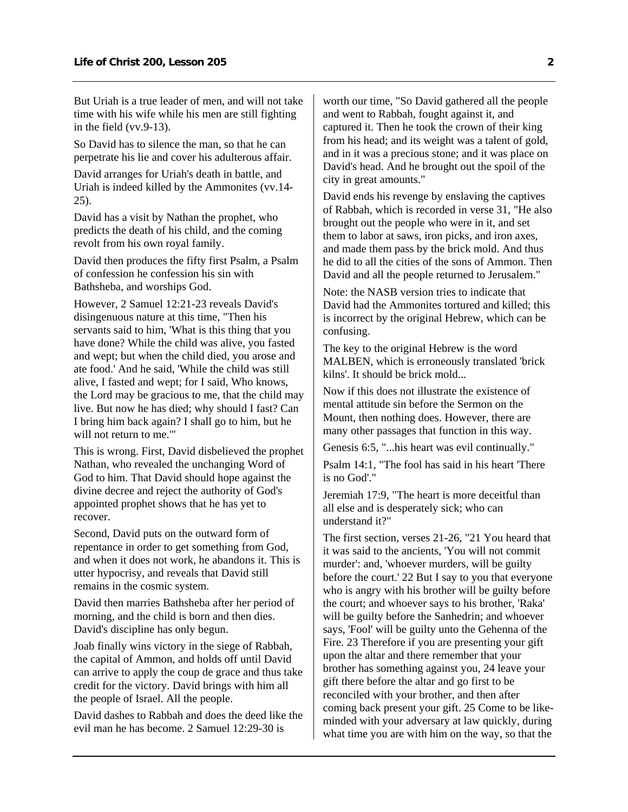But Uriah is a true leader of men, and will not take time with his wife while his men are still fighting in the field (vv.9-13).

So David has to silence the man, so that he can perpetrate his lie and cover his adulterous affair.

David arranges for Uriah's death in battle, and Uriah is indeed killed by the Ammonites (vv.14- 25).

David has a visit by Nathan the prophet, who predicts the death of his child, and the coming revolt from his own royal family.

David then produces the fifty first Psalm, a Psalm of confession he confession his sin with Bathsheba, and worships God.

However, 2 Samuel 12:21-23 reveals David's disingenuous nature at this time, "Then his servants said to him, 'What is this thing that you have done? While the child was alive, you fasted and wept; but when the child died, you arose and ate food.' And he said, 'While the child was still alive, I fasted and wept; for I said, Who knows, the Lord may be gracious to me, that the child may live. But now he has died; why should I fast? Can I bring him back again? I shall go to him, but he will not return to me.'"

This is wrong. First, David disbelieved the prophet Nathan, who revealed the unchanging Word of God to him. That David should hope against the divine decree and reject the authority of God's appointed prophet shows that he has yet to recover.

Second, David puts on the outward form of repentance in order to get something from God, and when it does not work, he abandons it. This is utter hypocrisy, and reveals that David still remains in the cosmic system.

David then marries Bathsheba after her period of morning, and the child is born and then dies. David's discipline has only begun.

Joab finally wins victory in the siege of Rabbah, the capital of Ammon, and holds off until David can arrive to apply the coup de grace and thus take credit for the victory. David brings with him all the people of Israel. All the people.

David dashes to Rabbah and does the deed like the evil man he has become. 2 Samuel 12:29-30 is

worth our time, "So David gathered all the people and went to Rabbah, fought against it, and captured it. Then he took the crown of their king from his head; and its weight was a talent of gold, and in it was a precious stone; and it was place on David's head. And he brought out the spoil of the city in great amounts."

David ends his revenge by enslaving the captives of Rabbah, which is recorded in verse 31, "He also brought out the people who were in it, and set them to labor at saws, iron picks, and iron axes, and made them pass by the brick mold. And thus he did to all the cities of the sons of Ammon. Then David and all the people returned to Jerusalem."

Note: the NASB version tries to indicate that David had the Ammonites tortured and killed; this is incorrect by the original Hebrew, which can be confusing.

The key to the original Hebrew is the word MALBEN, which is erroneously translated 'brick kilns'. It should be brick mold...

Now if this does not illustrate the existence of mental attitude sin before the Sermon on the Mount, then nothing does. However, there are many other passages that function in this way.

Genesis 6:5, "...his heart was evil continually."

Psalm 14:1, "The fool has said in his heart 'There is no God'."

Jeremiah 17:9, "The heart is more deceitful than all else and is desperately sick; who can understand it?"

The first section, verses 21-26, "21 You heard that it was said to the ancients, 'You will not commit murder': and, 'whoever murders, will be guilty before the court.' 22 But I say to you that everyone who is angry with his brother will be guilty before the court; and whoever says to his brother, 'Raka' will be guilty before the Sanhedrin; and whoever says, 'Fool' will be guilty unto the Gehenna of the Fire. 23 Therefore if you are presenting your gift upon the altar and there remember that your brother has something against you, 24 leave your gift there before the altar and go first to be reconciled with your brother, and then after coming back present your gift. 25 Come to be likeminded with your adversary at law quickly, during what time you are with him on the way, so that the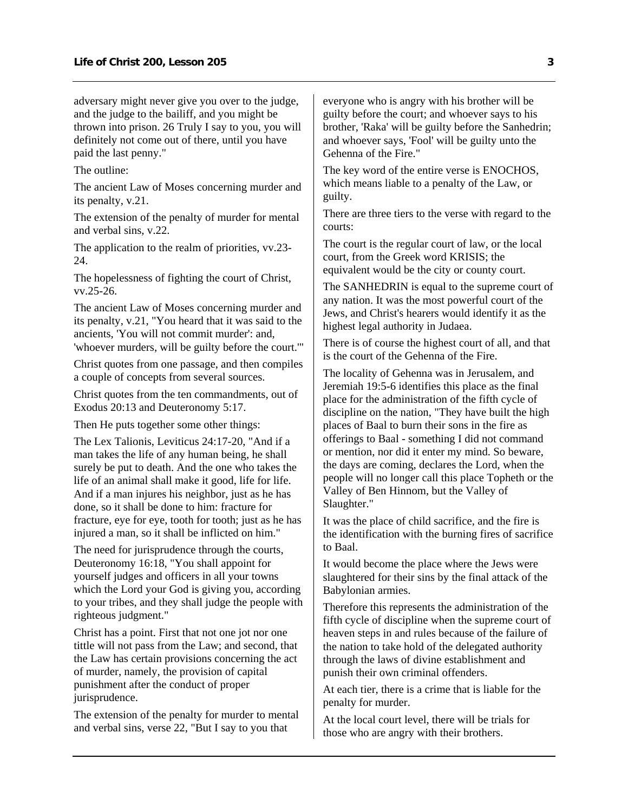adversary might never give you over to the judge, and the judge to the bailiff, and you might be thrown into prison. 26 Truly I say to you, you will definitely not come out of there, until you have paid the last penny."

The outline:

The ancient Law of Moses concerning murder and its penalty, v.21.

The extension of the penalty of murder for mental and verbal sins, v.22.

The application to the realm of priorities, vv.23- 24.

The hopelessness of fighting the court of Christ, vv.25-26.

The ancient Law of Moses concerning murder and its penalty, v.21, "You heard that it was said to the ancients, 'You will not commit murder': and, 'whoever murders, will be guilty before the court.'"

Christ quotes from one passage, and then compiles a couple of concepts from several sources.

Christ quotes from the ten commandments, out of Exodus 20:13 and Deuteronomy 5:17.

Then He puts together some other things:

The Lex Talionis, Leviticus 24:17-20, "And if a man takes the life of any human being, he shall surely be put to death. And the one who takes the life of an animal shall make it good, life for life. And if a man injures his neighbor, just as he has done, so it shall be done to him: fracture for fracture, eye for eye, tooth for tooth; just as he has injured a man, so it shall be inflicted on him."

The need for jurisprudence through the courts, Deuteronomy 16:18, "You shall appoint for yourself judges and officers in all your towns which the Lord your God is giving you, according to your tribes, and they shall judge the people with righteous judgment."

Christ has a point. First that not one jot nor one tittle will not pass from the Law; and second, that the Law has certain provisions concerning the act of murder, namely, the provision of capital punishment after the conduct of proper jurisprudence.

The extension of the penalty for murder to mental and verbal sins, verse 22, "But I say to you that

everyone who is angry with his brother will be guilty before the court; and whoever says to his brother, 'Raka' will be guilty before the Sanhedrin; and whoever says, 'Fool' will be guilty unto the Gehenna of the Fire."

The key word of the entire verse is ENOCHOS, which means liable to a penalty of the Law, or guilty.

There are three tiers to the verse with regard to the courts:

The court is the regular court of law, or the local court, from the Greek word KRISIS; the equivalent would be the city or county court.

The SANHEDRIN is equal to the supreme court of any nation. It was the most powerful court of the Jews, and Christ's hearers would identify it as the highest legal authority in Judaea.

There is of course the highest court of all, and that is the court of the Gehenna of the Fire.

The locality of Gehenna was in Jerusalem, and Jeremiah 19:5-6 identifies this place as the final place for the administration of the fifth cycle of discipline on the nation, "They have built the high places of Baal to burn their sons in the fire as offerings to Baal - something I did not command or mention, nor did it enter my mind. So beware, the days are coming, declares the Lord, when the people will no longer call this place Topheth or the Valley of Ben Hinnom, but the Valley of Slaughter."

It was the place of child sacrifice, and the fire is the identification with the burning fires of sacrifice to Baal.

It would become the place where the Jews were slaughtered for their sins by the final attack of the Babylonian armies.

Therefore this represents the administration of the fifth cycle of discipline when the supreme court of heaven steps in and rules because of the failure of the nation to take hold of the delegated authority through the laws of divine establishment and punish their own criminal offenders.

At each tier, there is a crime that is liable for the penalty for murder.

At the local court level, there will be trials for those who are angry with their brothers.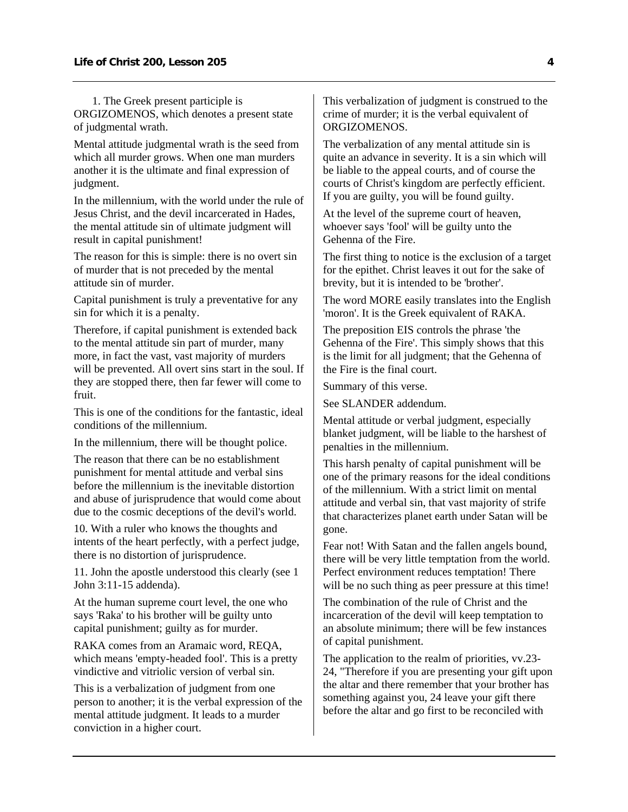1. The Greek present participle is ORGIZOMENOS, which denotes a present state of judgmental wrath.

Mental attitude judgmental wrath is the seed from which all murder grows. When one man murders another it is the ultimate and final expression of judgment.

In the millennium, with the world under the rule of Jesus Christ, and the devil incarcerated in Hades, the mental attitude sin of ultimate judgment will result in capital punishment!

The reason for this is simple: there is no overt sin of murder that is not preceded by the mental attitude sin of murder.

Capital punishment is truly a preventative for any sin for which it is a penalty.

Therefore, if capital punishment is extended back to the mental attitude sin part of murder, many more, in fact the vast, vast majority of murders will be prevented. All overt sins start in the soul. If they are stopped there, then far fewer will come to fruit.

This is one of the conditions for the fantastic, ideal conditions of the millennium.

In the millennium, there will be thought police.

The reason that there can be no establishment punishment for mental attitude and verbal sins before the millennium is the inevitable distortion and abuse of jurisprudence that would come about due to the cosmic deceptions of the devil's world.

10. With a ruler who knows the thoughts and intents of the heart perfectly, with a perfect judge, there is no distortion of jurisprudence.

11. John the apostle understood this clearly (see 1 John 3:11-15 addenda).

At the human supreme court level, the one who says 'Raka' to his brother will be guilty unto capital punishment; guilty as for murder.

RAKA comes from an Aramaic word, REQA, which means 'empty-headed fool'. This is a pretty vindictive and vitriolic version of verbal sin.

This is a verbalization of judgment from one person to another; it is the verbal expression of the mental attitude judgment. It leads to a murder conviction in a higher court.

This verbalization of judgment is construed to the crime of murder; it is the verbal equivalent of ORGIZOMENOS.

The verbalization of any mental attitude sin is quite an advance in severity. It is a sin which will be liable to the appeal courts, and of course the courts of Christ's kingdom are perfectly efficient. If you are guilty, you will be found guilty.

At the level of the supreme court of heaven, whoever says 'fool' will be guilty unto the Gehenna of the Fire.

The first thing to notice is the exclusion of a target for the epithet. Christ leaves it out for the sake of brevity, but it is intended to be 'brother'.

The word MORE easily translates into the English 'moron'. It is the Greek equivalent of RAKA.

The preposition EIS controls the phrase 'the Gehenna of the Fire'. This simply shows that this is the limit for all judgment; that the Gehenna of the Fire is the final court.

Summary of this verse.

See SLANDER addendum.

Mental attitude or verbal judgment, especially blanket judgment, will be liable to the harshest of penalties in the millennium.

This harsh penalty of capital punishment will be one of the primary reasons for the ideal conditions of the millennium. With a strict limit on mental attitude and verbal sin, that vast majority of strife that characterizes planet earth under Satan will be gone.

Fear not! With Satan and the fallen angels bound, there will be very little temptation from the world. Perfect environment reduces temptation! There will be no such thing as peer pressure at this time!

The combination of the rule of Christ and the incarceration of the devil will keep temptation to an absolute minimum; there will be few instances of capital punishment.

The application to the realm of priorities, vv.23- 24, "Therefore if you are presenting your gift upon the altar and there remember that your brother has something against you, 24 leave your gift there before the altar and go first to be reconciled with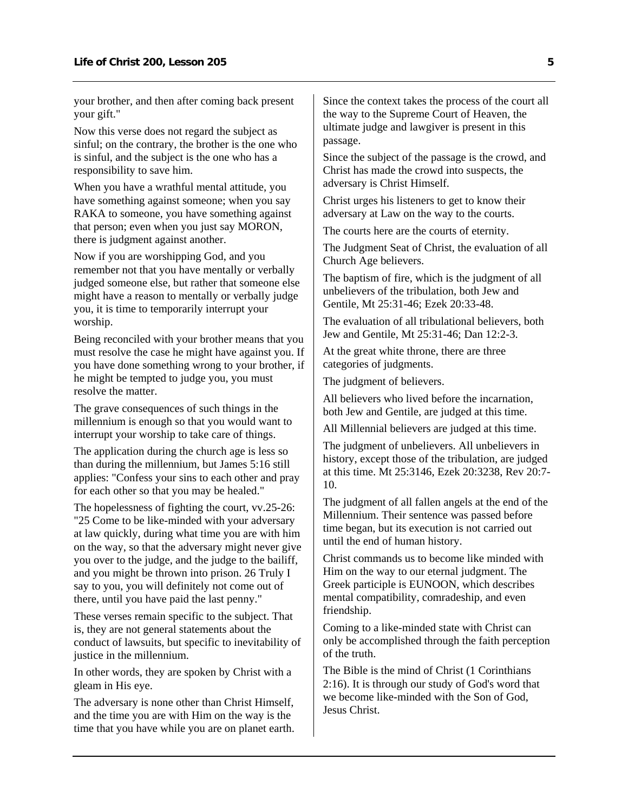your brother, and then after coming back present your gift."

Now this verse does not regard the subject as sinful; on the contrary, the brother is the one who is sinful, and the subject is the one who has a responsibility to save him.

When you have a wrathful mental attitude, you have something against someone; when you say RAKA to someone, you have something against that person; even when you just say MORON, there is judgment against another.

Now if you are worshipping God, and you remember not that you have mentally or verbally judged someone else, but rather that someone else might have a reason to mentally or verbally judge you, it is time to temporarily interrupt your worship.

Being reconciled with your brother means that you must resolve the case he might have against you. If you have done something wrong to your brother, if he might be tempted to judge you, you must resolve the matter.

The grave consequences of such things in the millennium is enough so that you would want to interrupt your worship to take care of things.

The application during the church age is less so than during the millennium, but James 5:16 still applies: "Confess your sins to each other and pray for each other so that you may be healed."

The hopelessness of fighting the court, vv.25-26: "25 Come to be like-minded with your adversary at law quickly, during what time you are with him on the way, so that the adversary might never give you over to the judge, and the judge to the bailiff, and you might be thrown into prison. 26 Truly I say to you, you will definitely not come out of there, until you have paid the last penny."

These verses remain specific to the subject. That is, they are not general statements about the conduct of lawsuits, but specific to inevitability of justice in the millennium.

In other words, they are spoken by Christ with a gleam in His eye.

The adversary is none other than Christ Himself, and the time you are with Him on the way is the time that you have while you are on planet earth. Since the context takes the process of the court all the way to the Supreme Court of Heaven, the ultimate judge and lawgiver is present in this passage.

Since the subject of the passage is the crowd, and Christ has made the crowd into suspects, the adversary is Christ Himself.

Christ urges his listeners to get to know their adversary at Law on the way to the courts.

The courts here are the courts of eternity.

The Judgment Seat of Christ, the evaluation of all Church Age believers.

The baptism of fire, which is the judgment of all unbelievers of the tribulation, both Jew and Gentile, Mt 25:31-46; Ezek 20:33-48.

The evaluation of all tribulational believers, both Jew and Gentile, Mt 25:31-46; Dan 12:2-3.

At the great white throne, there are three categories of judgments.

The judgment of believers.

All believers who lived before the incarnation, both Jew and Gentile, are judged at this time.

All Millennial believers are judged at this time.

The judgment of unbelievers. All unbelievers in history, except those of the tribulation, are judged at this time. Mt 25:3146, Ezek 20:3238, Rev 20:7- 10.

The judgment of all fallen angels at the end of the Millennium. Their sentence was passed before time began, but its execution is not carried out until the end of human history.

Christ commands us to become like minded with Him on the way to our eternal judgment. The Greek participle is EUNOON, which describes mental compatibility, comradeship, and even friendship.

Coming to a like-minded state with Christ can only be accomplished through the faith perception of the truth.

The Bible is the mind of Christ (1 Corinthians 2:16). It is through our study of God's word that we become like-minded with the Son of God, Jesus Christ.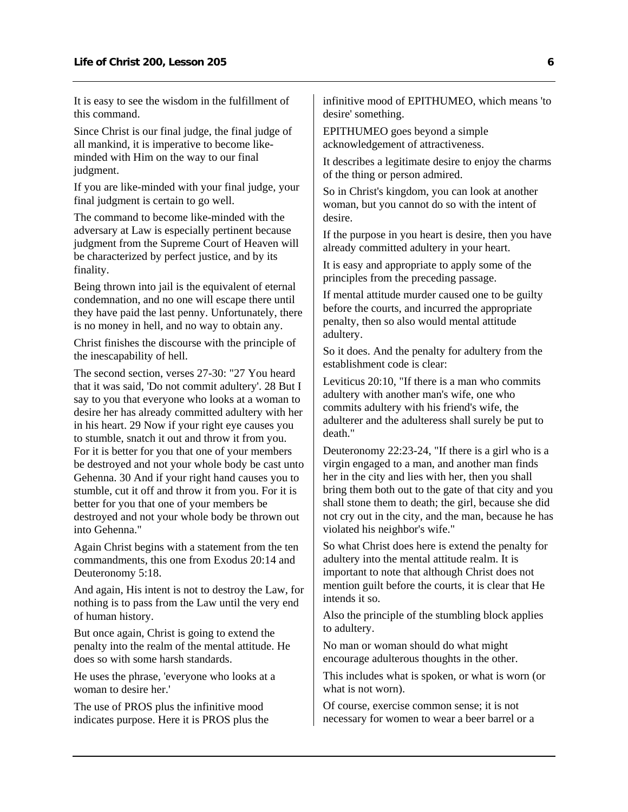It is easy to see the wisdom in the fulfillment of this command.

Since Christ is our final judge, the final judge of all mankind, it is imperative to become likeminded with Him on the way to our final judgment.

If you are like-minded with your final judge, your final judgment is certain to go well.

The command to become like-minded with the adversary at Law is especially pertinent because judgment from the Supreme Court of Heaven will be characterized by perfect justice, and by its finality.

Being thrown into jail is the equivalent of eternal condemnation, and no one will escape there until they have paid the last penny. Unfortunately, there is no money in hell, and no way to obtain any.

Christ finishes the discourse with the principle of the inescapability of hell.

The second section, verses 27-30: "27 You heard that it was said, 'Do not commit adultery'. 28 But I say to you that everyone who looks at a woman to desire her has already committed adultery with her in his heart. 29 Now if your right eye causes you to stumble, snatch it out and throw it from you. For it is better for you that one of your members be destroyed and not your whole body be cast unto Gehenna. 30 And if your right hand causes you to stumble, cut it off and throw it from you. For it is better for you that one of your members be destroyed and not your whole body be thrown out into Gehenna."

Again Christ begins with a statement from the ten commandments, this one from Exodus 20:14 and Deuteronomy 5:18.

And again, His intent is not to destroy the Law, for nothing is to pass from the Law until the very end of human history.

But once again, Christ is going to extend the penalty into the realm of the mental attitude. He does so with some harsh standards.

He uses the phrase, 'everyone who looks at a woman to desire her.'

The use of PROS plus the infinitive mood indicates purpose. Here it is PROS plus the infinitive mood of EPITHUMEO, which means 'to desire' something.

EPITHUMEO goes beyond a simple acknowledgement of attractiveness.

It describes a legitimate desire to enjoy the charms of the thing or person admired.

So in Christ's kingdom, you can look at another woman, but you cannot do so with the intent of desire.

If the purpose in you heart is desire, then you have already committed adultery in your heart.

It is easy and appropriate to apply some of the principles from the preceding passage.

If mental attitude murder caused one to be guilty before the courts, and incurred the appropriate penalty, then so also would mental attitude adultery.

So it does. And the penalty for adultery from the establishment code is clear:

Leviticus 20:10, "If there is a man who commits adultery with another man's wife, one who commits adultery with his friend's wife, the adulterer and the adulteress shall surely be put to death."

Deuteronomy 22:23-24, "If there is a girl who is a virgin engaged to a man, and another man finds her in the city and lies with her, then you shall bring them both out to the gate of that city and you shall stone them to death; the girl, because she did not cry out in the city, and the man, because he has violated his neighbor's wife."

So what Christ does here is extend the penalty for adultery into the mental attitude realm. It is important to note that although Christ does not mention guilt before the courts, it is clear that He intends it so.

Also the principle of the stumbling block applies to adultery.

No man or woman should do what might encourage adulterous thoughts in the other.

This includes what is spoken, or what is worn (or what is not worn).

Of course, exercise common sense; it is not necessary for women to wear a beer barrel or a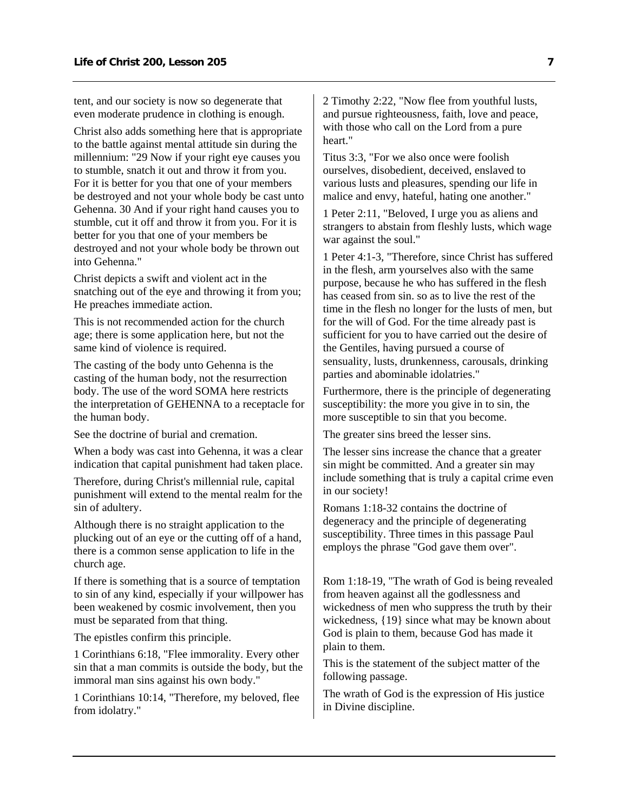tent, and our society is now so degenerate that even moderate prudence in clothing is enough.

Christ also adds something here that is appropriate to the battle against mental attitude sin during the millennium: "29 Now if your right eye causes you to stumble, snatch it out and throw it from you. For it is better for you that one of your members be destroyed and not your whole body be cast unto Gehenna. 30 And if your right hand causes you to stumble, cut it off and throw it from you. For it is better for you that one of your members be destroyed and not your whole body be thrown out into Gehenna."

Christ depicts a swift and violent act in the snatching out of the eye and throwing it from you; He preaches immediate action.

This is not recommended action for the church age; there is some application here, but not the same kind of violence is required.

The casting of the body unto Gehenna is the casting of the human body, not the resurrection body. The use of the word SOMA here restricts the interpretation of GEHENNA to a receptacle for the human body.

See the doctrine of burial and cremation.

When a body was cast into Gehenna, it was a clear indication that capital punishment had taken place.

Therefore, during Christ's millennial rule, capital punishment will extend to the mental realm for the sin of adultery.

Although there is no straight application to the plucking out of an eye or the cutting off of a hand, there is a common sense application to life in the church age.

If there is something that is a source of temptation to sin of any kind, especially if your willpower has been weakened by cosmic involvement, then you must be separated from that thing.

The epistles confirm this principle.

1 Corinthians 6:18, "Flee immorality. Every other sin that a man commits is outside the body, but the immoral man sins against his own body."

1 Corinthians 10:14, "Therefore, my beloved, flee from idolatry."

2 Timothy 2:22, "Now flee from youthful lusts, and pursue righteousness, faith, love and peace, with those who call on the Lord from a pure heart."

Titus 3:3, "For we also once were foolish ourselves, disobedient, deceived, enslaved to various lusts and pleasures, spending our life in malice and envy, hateful, hating one another."

1 Peter 2:11, "Beloved, I urge you as aliens and strangers to abstain from fleshly lusts, which wage war against the soul."

1 Peter 4:1-3, "Therefore, since Christ has suffered in the flesh, arm yourselves also with the same purpose, because he who has suffered in the flesh has ceased from sin. so as to live the rest of the time in the flesh no longer for the lusts of men, but for the will of God. For the time already past is sufficient for you to have carried out the desire of the Gentiles, having pursued a course of sensuality, lusts, drunkenness, carousals, drinking parties and abominable idolatries."

Furthermore, there is the principle of degenerating susceptibility: the more you give in to sin, the more susceptible to sin that you become.

The greater sins breed the lesser sins.

The lesser sins increase the chance that a greater sin might be committed. And a greater sin may include something that is truly a capital crime even in our society!

Romans 1:18-32 contains the doctrine of degeneracy and the principle of degenerating susceptibility. Three times in this passage Paul employs the phrase "God gave them over".

Rom 1:18-19, "The wrath of God is being revealed from heaven against all the godlessness and wickedness of men who suppress the truth by their wickedness, {19} since what may be known about God is plain to them, because God has made it plain to them.

This is the statement of the subject matter of the following passage.

The wrath of God is the expression of His justice in Divine discipline.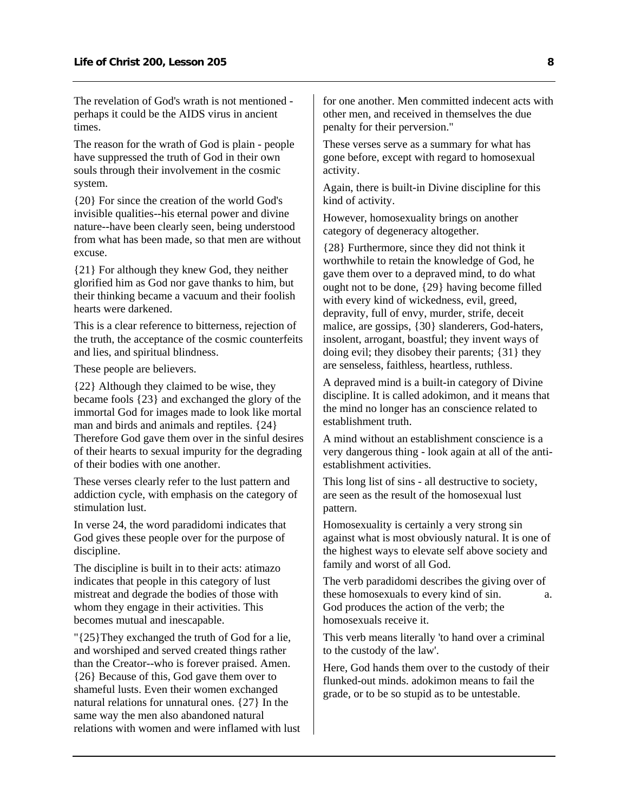The revelation of God's wrath is not mentioned perhaps it could be the AIDS virus in ancient times.

The reason for the wrath of God is plain - people have suppressed the truth of God in their own souls through their involvement in the cosmic system.

{20} For since the creation of the world God's invisible qualities--his eternal power and divine nature--have been clearly seen, being understood from what has been made, so that men are without excuse.

{21} For although they knew God, they neither glorified him as God nor gave thanks to him, but their thinking became a vacuum and their foolish hearts were darkened.

This is a clear reference to bitterness, rejection of the truth, the acceptance of the cosmic counterfeits and lies, and spiritual blindness.

These people are believers.

{22} Although they claimed to be wise, they became fools {23} and exchanged the glory of the immortal God for images made to look like mortal man and birds and animals and reptiles. {24} Therefore God gave them over in the sinful desires of their hearts to sexual impurity for the degrading of their bodies with one another.

These verses clearly refer to the lust pattern and addiction cycle, with emphasis on the category of stimulation lust.

In verse 24, the word paradidomi indicates that God gives these people over for the purpose of discipline.

The discipline is built in to their acts: atimazo indicates that people in this category of lust mistreat and degrade the bodies of those with whom they engage in their activities. This becomes mutual and inescapable.

"{25}They exchanged the truth of God for a lie, and worshiped and served created things rather than the Creator--who is forever praised. Amen. {26} Because of this, God gave them over to shameful lusts. Even their women exchanged natural relations for unnatural ones. {27} In the same way the men also abandoned natural relations with women and were inflamed with lust for one another. Men committed indecent acts with other men, and received in themselves the due penalty for their perversion."

These verses serve as a summary for what has gone before, except with regard to homosexual activity.

Again, there is built-in Divine discipline for this kind of activity.

However, homosexuality brings on another category of degeneracy altogether.

{28} Furthermore, since they did not think it worthwhile to retain the knowledge of God, he gave them over to a depraved mind, to do what ought not to be done, {29} having become filled with every kind of wickedness, evil, greed, depravity, full of envy, murder, strife, deceit malice, are gossips, {30} slanderers, God-haters, insolent, arrogant, boastful; they invent ways of doing evil; they disobey their parents; {31} they are senseless, faithless, heartless, ruthless.

A depraved mind is a built-in category of Divine discipline. It is called adokimon, and it means that the mind no longer has an conscience related to establishment truth.

A mind without an establishment conscience is a very dangerous thing - look again at all of the antiestablishment activities.

This long list of sins - all destructive to society, are seen as the result of the homosexual lust pattern.

Homosexuality is certainly a very strong sin against what is most obviously natural. It is one of the highest ways to elevate self above society and family and worst of all God.

The verb paradidomi describes the giving over of these homosexuals to every kind of sin.  $\qquad a.$ God produces the action of the verb; the homosexuals receive it.

This verb means literally 'to hand over a criminal to the custody of the law'.

Here, God hands them over to the custody of their flunked-out minds. adokimon means to fail the grade, or to be so stupid as to be untestable.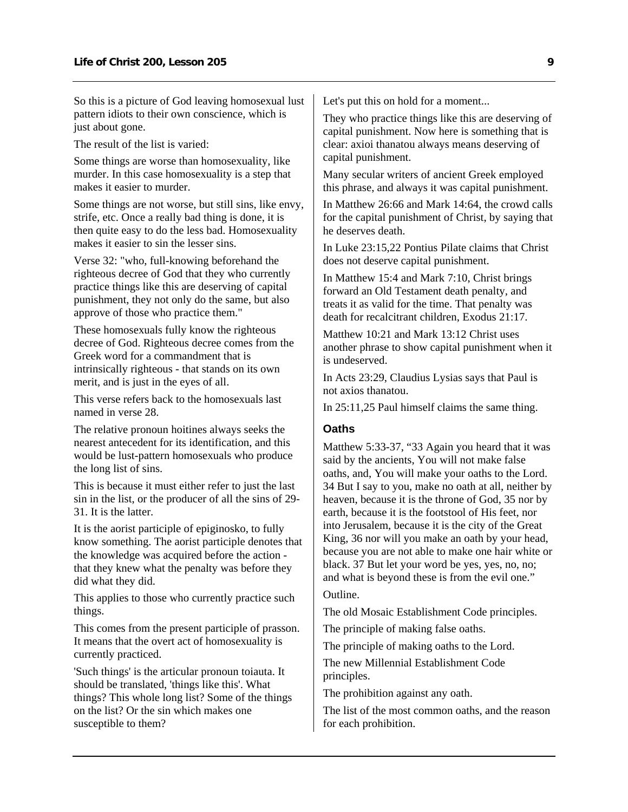<span id="page-10-0"></span>So this is a picture of God leaving homosexual lust pattern idiots to their own conscience, which is just about gone.

The result of the list is varied:

Some things are worse than homosexuality, like murder. In this case homosexuality is a step that makes it easier to murder.

Some things are not worse, but still sins, like envy, strife, etc. Once a really bad thing is done, it is then quite easy to do the less bad. Homosexuality makes it easier to sin the lesser sins.

Verse 32: "who, full-knowing beforehand the righteous decree of God that they who currently practice things like this are deserving of capital punishment, they not only do the same, but also approve of those who practice them."

These homosexuals fully know the righteous decree of God. Righteous decree comes from the Greek word for a commandment that is intrinsically righteous - that stands on its own merit, and is just in the eyes of all.

This verse refers back to the homosexuals last named in verse 28.

The relative pronoun hoitines always seeks the nearest antecedent for its identification, and this would be lust-pattern homosexuals who produce the long list of sins.

This is because it must either refer to just the last sin in the list, or the producer of all the sins of 29- 31. It is the latter.

It is the aorist participle of epiginosko, to fully know something. The aorist participle denotes that the knowledge was acquired before the action that they knew what the penalty was before they did what they did.

This applies to those who currently practice such things.

This comes from the present participle of prasson. It means that the overt act of homosexuality is currently practiced.

'Such things' is the articular pronoun toiauta. It should be translated, 'things like this'. What things? This whole long list? Some of the things on the list? Or the sin which makes one susceptible to them?

Let's put this on hold for a moment...

They who practice things like this are deserving of capital punishment. Now here is something that is clear: axioi thanatou always means deserving of capital punishment.

Many secular writers of ancient Greek employed this phrase, and always it was capital punishment.

In Matthew 26:66 and Mark 14:64, the crowd calls for the capital punishment of Christ, by saying that he deserves death.

In Luke 23:15,22 Pontius Pilate claims that Christ does not deserve capital punishment.

In Matthew 15:4 and Mark 7:10, Christ brings forward an Old Testament death penalty, and treats it as valid for the time. That penalty was death for recalcitrant children, Exodus 21:17.

Matthew 10:21 and Mark 13:12 Christ uses another phrase to show capital punishment when it is undeserved.

In Acts 23:29, Claudius Lysias says that Paul is not axios thanatou.

In 25:11,25 Paul himself claims the same thing.

#### **Oaths**

Matthew 5:33-37, "33 Again you heard that it was said by the ancients, You will not make false oaths, and, You will make your oaths to the Lord. 34 But I say to you, make no oath at all, neither by heaven, because it is the throne of God, 35 nor by earth, because it is the footstool of His feet, nor into Jerusalem, because it is the city of the Great King, 36 nor will you make an oath by your head, because you are not able to make one hair white or black. 37 But let your word be yes, yes, no, no; and what is beyond these is from the evil one."

Outline.

The old Mosaic Establishment Code principles.

The principle of making false oaths.

The principle of making oaths to the Lord.

The new Millennial Establishment Code principles.

The prohibition against any oath.

The list of the most common oaths, and the reason for each prohibition.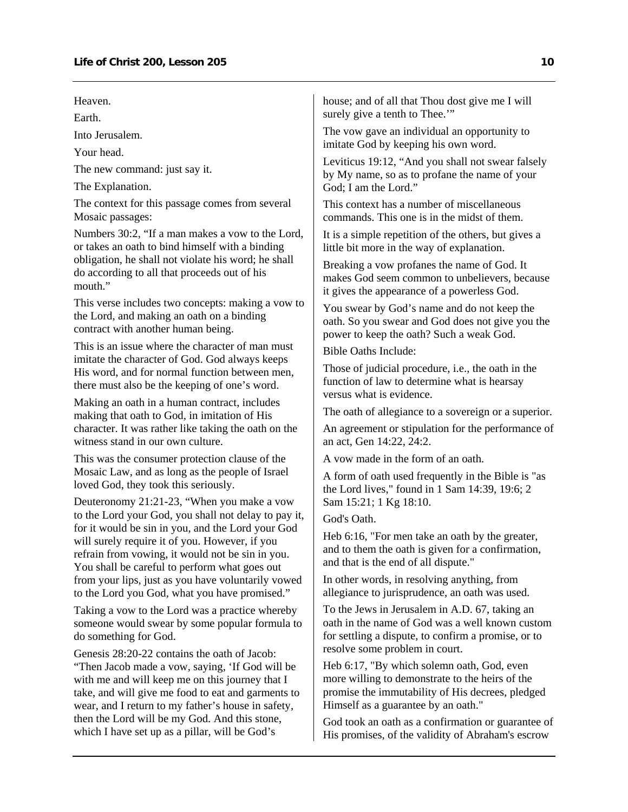Heaven.

Earth.

Into Jerusalem.

Your head.

The new command: just say it.

The Explanation.

The context for this passage comes from several Mosaic passages:

Numbers 30:2, "If a man makes a vow to the Lord, or takes an oath to bind himself with a binding obligation, he shall not violate his word; he shall do according to all that proceeds out of his mouth."

This verse includes two concepts: making a vow to the Lord, and making an oath on a binding contract with another human being.

This is an issue where the character of man must imitate the character of God. God always keeps His word, and for normal function between men, there must also be the keeping of one's word.

Making an oath in a human contract, includes making that oath to God, in imitation of His character. It was rather like taking the oath on the witness stand in our own culture.

This was the consumer protection clause of the Mosaic Law, and as long as the people of Israel loved God, they took this seriously.

Deuteronomy 21:21-23, "When you make a vow to the Lord your God, you shall not delay to pay it, for it would be sin in you, and the Lord your God will surely require it of you. However, if you refrain from vowing, it would not be sin in you. You shall be careful to perform what goes out from your lips, just as you have voluntarily vowed to the Lord you God, what you have promised."

Taking a vow to the Lord was a practice whereby someone would swear by some popular formula to do something for God.

Genesis 28:20-22 contains the oath of Jacob: "Then Jacob made a vow, saying, 'If God will be with me and will keep me on this journey that I take, and will give me food to eat and garments to wear, and I return to my father's house in safety, then the Lord will be my God. And this stone, which I have set up as a pillar, will be God's

house; and of all that Thou dost give me I will surely give a tenth to Thee."

The vow gave an individual an opportunity to imitate God by keeping his own word.

Leviticus 19:12, "And you shall not swear falsely by My name, so as to profane the name of your God; I am the Lord."

This context has a number of miscellaneous commands. This one is in the midst of them.

It is a simple repetition of the others, but gives a little bit more in the way of explanation.

Breaking a vow profanes the name of God. It makes God seem common to unbelievers, because it gives the appearance of a powerless God.

You swear by God's name and do not keep the oath. So you swear and God does not give you the power to keep the oath? Such a weak God.

Bible Oaths Include:

Those of judicial procedure, i.e., the oath in the function of law to determine what is hearsay versus what is evidence.

The oath of allegiance to a sovereign or a superior.

An agreement or stipulation for the performance of an act, Gen 14:22, 24:2.

A vow made in the form of an oath.

A form of oath used frequently in the Bible is "as the Lord lives," found in 1 Sam 14:39, 19:6; 2 Sam 15:21; 1 Kg 18:10.

God's Oath.

Heb 6:16, "For men take an oath by the greater, and to them the oath is given for a confirmation, and that is the end of all dispute."

In other words, in resolving anything, from allegiance to jurisprudence, an oath was used.

To the Jews in Jerusalem in A.D. 67, taking an oath in the name of God was a well known custom for settling a dispute, to confirm a promise, or to resolve some problem in court.

Heb 6:17, "By which solemn oath, God, even more willing to demonstrate to the heirs of the promise the immutability of His decrees, pledged Himself as a guarantee by an oath."

God took an oath as a confirmation or guarantee of His promises, of the validity of Abraham's escrow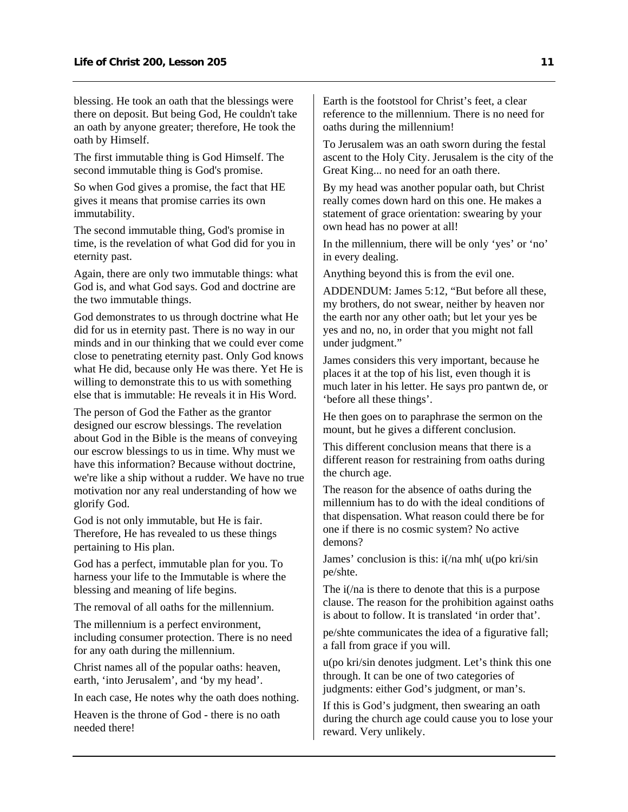blessing. He took an oath that the blessings were there on deposit. But being God, He couldn't take an oath by anyone greater; therefore, He took the oath by Himself.

The first immutable thing is God Himself. The second immutable thing is God's promise.

So when God gives a promise, the fact that HE gives it means that promise carries its own immutability.

The second immutable thing, God's promise in time, is the revelation of what God did for you in eternity past.

Again, there are only two immutable things: what God is, and what God says. God and doctrine are the two immutable things.

God demonstrates to us through doctrine what He did for us in eternity past. There is no way in our minds and in our thinking that we could ever come close to penetrating eternity past. Only God knows what He did, because only He was there. Yet He is willing to demonstrate this to us with something else that is immutable: He reveals it in His Word.

The person of God the Father as the grantor designed our escrow blessings. The revelation about God in the Bible is the means of conveying our escrow blessings to us in time. Why must we have this information? Because without doctrine, we're like a ship without a rudder. We have no true motivation nor any real understanding of how we glorify God.

God is not only immutable, but He is fair. Therefore, He has revealed to us these things pertaining to His plan.

God has a perfect, immutable plan for you. To harness your life to the Immutable is where the blessing and meaning of life begins.

The removal of all oaths for the millennium.

The millennium is a perfect environment, including consumer protection. There is no need for any oath during the millennium.

Christ names all of the popular oaths: heaven, earth, 'into Jerusalem', and 'by my head'.

In each case, He notes why the oath does nothing.

Heaven is the throne of God - there is no oath needed there!

Earth is the footstool for Christ's feet, a clear reference to the millennium. There is no need for oaths during the millennium!

To Jerusalem was an oath sworn during the festal ascent to the Holy City. Jerusalem is the city of the Great King... no need for an oath there.

By my head was another popular oath, but Christ really comes down hard on this one. He makes a statement of grace orientation: swearing by your own head has no power at all!

In the millennium, there will be only 'yes' or 'no' in every dealing.

Anything beyond this is from the evil one.

ADDENDUM: James 5:12, "But before all these, my brothers, do not swear, neither by heaven nor the earth nor any other oath; but let your yes be yes and no, no, in order that you might not fall under judgment."

James considers this very important, because he places it at the top of his list, even though it is much later in his letter. He says pro pantwn de, or 'before all these things'.

He then goes on to paraphrase the sermon on the mount, but he gives a different conclusion.

This different conclusion means that there is a different reason for restraining from oaths during the church age.

The reason for the absence of oaths during the millennium has to do with the ideal conditions of that dispensation. What reason could there be for one if there is no cosmic system? No active demons?

James' conclusion is this: i(/na mh( u(po kri/sin pe/shte.

The i(/na is there to denote that this is a purpose clause. The reason for the prohibition against oaths is about to follow. It is translated 'in order that'.

pe/shte communicates the idea of a figurative fall; a fall from grace if you will.

u(po kri/sin denotes judgment. Let's think this one through. It can be one of two categories of judgments: either God's judgment, or man's.

If this is God's judgment, then swearing an oath during the church age could cause you to lose your reward. Very unlikely.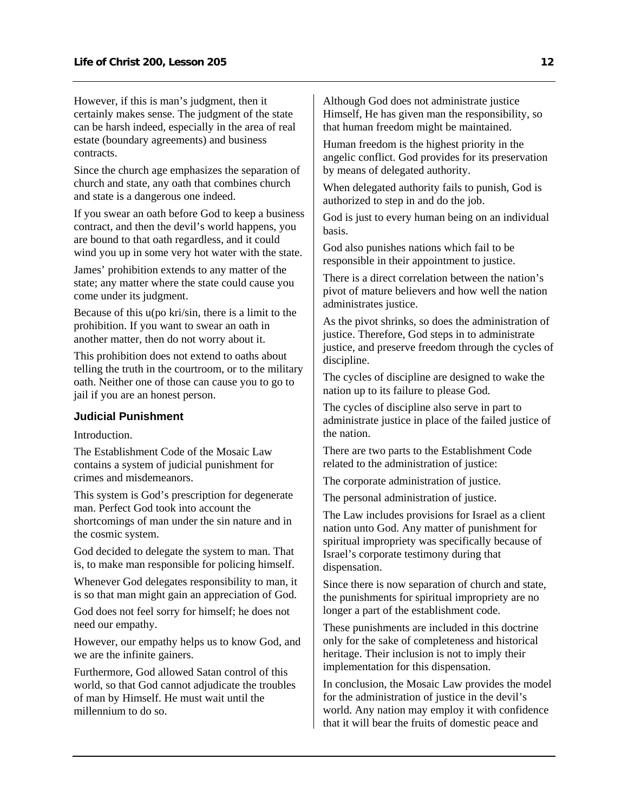<span id="page-13-0"></span>However, if this is man's judgment, then it certainly makes sense. The judgment of the state can be harsh indeed, especially in the area of real estate (boundary agreements) and business contracts.

Since the church age emphasizes the separation of church and state, any oath that combines church and state is a dangerous one indeed.

If you swear an oath before God to keep a business contract, and then the devil's world happens, you are bound to that oath regardless, and it could wind you up in some very hot water with the state.

James' prohibition extends to any matter of the state; any matter where the state could cause you come under its judgment.

Because of this u(po kri/sin, there is a limit to the prohibition. If you want to swear an oath in another matter, then do not worry about it.

This prohibition does not extend to oaths about telling the truth in the courtroom, or to the military oath. Neither one of those can cause you to go to jail if you are an honest person.

#### **Judicial Punishment**

**Introduction** 

The Establishment Code of the Mosaic Law contains a system of judicial punishment for crimes and misdemeanors.

This system is God's prescription for degenerate man. Perfect God took into account the shortcomings of man under the sin nature and in the cosmic system.

God decided to delegate the system to man. That is, to make man responsible for policing himself.

Whenever God delegates responsibility to man, it is so that man might gain an appreciation of God.

God does not feel sorry for himself; he does not need our empathy.

However, our empathy helps us to know God, and we are the infinite gainers.

Furthermore, God allowed Satan control of this world, so that God cannot adjudicate the troubles of man by Himself. He must wait until the millennium to do so.

Although God does not administrate justice Himself, He has given man the responsibility, so that human freedom might be maintained.

Human freedom is the highest priority in the angelic conflict. God provides for its preservation by means of delegated authority.

When delegated authority fails to punish, God is authorized to step in and do the job.

God is just to every human being on an individual basis.

God also punishes nations which fail to be responsible in their appointment to justice.

There is a direct correlation between the nation's pivot of mature believers and how well the nation administrates justice.

As the pivot shrinks, so does the administration of justice. Therefore, God steps in to administrate justice, and preserve freedom through the cycles of discipline.

The cycles of discipline are designed to wake the nation up to its failure to please God.

The cycles of discipline also serve in part to administrate justice in place of the failed justice of the nation.

There are two parts to the Establishment Code related to the administration of justice:

The corporate administration of justice.

The personal administration of justice.

The Law includes provisions for Israel as a client nation unto God. Any matter of punishment for spiritual impropriety was specifically because of Israel's corporate testimony during that dispensation.

Since there is now separation of church and state, the punishments for spiritual impropriety are no longer a part of the establishment code.

These punishments are included in this doctrine only for the sake of completeness and historical heritage. Their inclusion is not to imply their implementation for this dispensation.

In conclusion, the Mosaic Law provides the model for the administration of justice in the devil's world. Any nation may employ it with confidence that it will bear the fruits of domestic peace and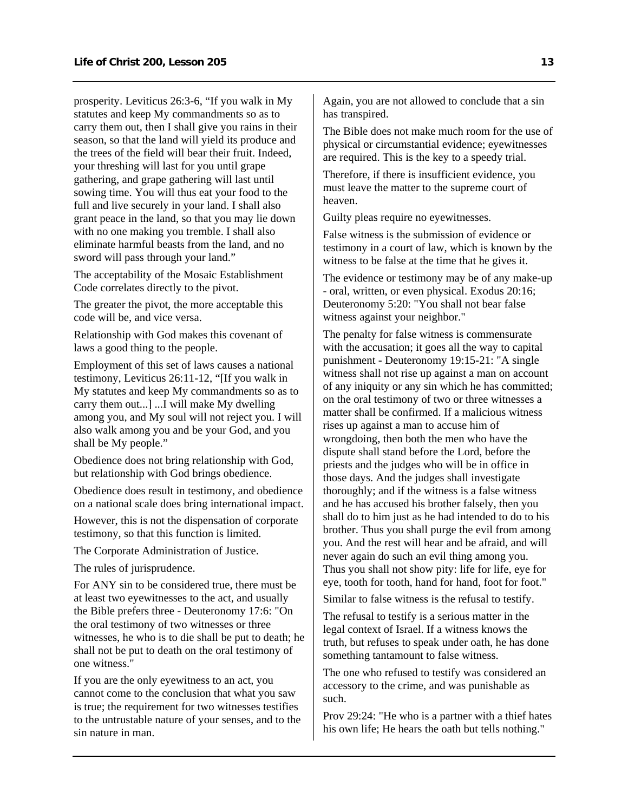prosperity. Leviticus 26:3-6, "If you walk in My statutes and keep My commandments so as to carry them out, then I shall give you rains in their season, so that the land will yield its produce and the trees of the field will bear their fruit. Indeed, your threshing will last for you until grape gathering, and grape gathering will last until sowing time. You will thus eat your food to the full and live securely in your land. I shall also grant peace in the land, so that you may lie down with no one making you tremble. I shall also eliminate harmful beasts from the land, and no sword will pass through your land."

The acceptability of the Mosaic Establishment Code correlates directly to the pivot.

The greater the pivot, the more acceptable this code will be, and vice versa.

Relationship with God makes this covenant of laws a good thing to the people.

Employment of this set of laws causes a national testimony, Leviticus 26:11-12, "[If you walk in My statutes and keep My commandments so as to carry them out...] ...I will make My dwelling among you, and My soul will not reject you. I will also walk among you and be your God, and you shall be My people."

Obedience does not bring relationship with God, but relationship with God brings obedience.

Obedience does result in testimony, and obedience on a national scale does bring international impact.

However, this is not the dispensation of corporate testimony, so that this function is limited.

The Corporate Administration of Justice.

The rules of jurisprudence.

For ANY sin to be considered true, there must be at least two eyewitnesses to the act, and usually the Bible prefers three - Deuteronomy 17:6: "On the oral testimony of two witnesses or three witnesses, he who is to die shall be put to death; he shall not be put to death on the oral testimony of one witness."

If you are the only eyewitness to an act, you cannot come to the conclusion that what you saw is true; the requirement for two witnesses testifies to the untrustable nature of your senses, and to the sin nature in man.

Again, you are not allowed to conclude that a sin has transpired.

The Bible does not make much room for the use of physical or circumstantial evidence; eyewitnesses are required. This is the key to a speedy trial.

Therefore, if there is insufficient evidence, you must leave the matter to the supreme court of heaven.

Guilty pleas require no eyewitnesses.

False witness is the submission of evidence or testimony in a court of law, which is known by the witness to be false at the time that he gives it.

The evidence or testimony may be of any make-up - oral, written, or even physical. Exodus 20:16; Deuteronomy 5:20: "You shall not bear false witness against your neighbor."

The penalty for false witness is commensurate with the accusation; it goes all the way to capital punishment - Deuteronomy 19:15-21: "A single witness shall not rise up against a man on account of any iniquity or any sin which he has committed; on the oral testimony of two or three witnesses a matter shall be confirmed. If a malicious witness rises up against a man to accuse him of wrongdoing, then both the men who have the dispute shall stand before the Lord, before the priests and the judges who will be in office in those days. And the judges shall investigate thoroughly; and if the witness is a false witness and he has accused his brother falsely, then you shall do to him just as he had intended to do to his brother. Thus you shall purge the evil from among you. And the rest will hear and be afraid, and will never again do such an evil thing among you. Thus you shall not show pity: life for life, eye for eye, tooth for tooth, hand for hand, foot for foot."

Similar to false witness is the refusal to testify.

The refusal to testify is a serious matter in the legal context of Israel. If a witness knows the truth, but refuses to speak under oath, he has done something tantamount to false witness.

The one who refused to testify was considered an accessory to the crime, and was punishable as such.

Prov 29:24: "He who is a partner with a thief hates his own life; He hears the oath but tells nothing."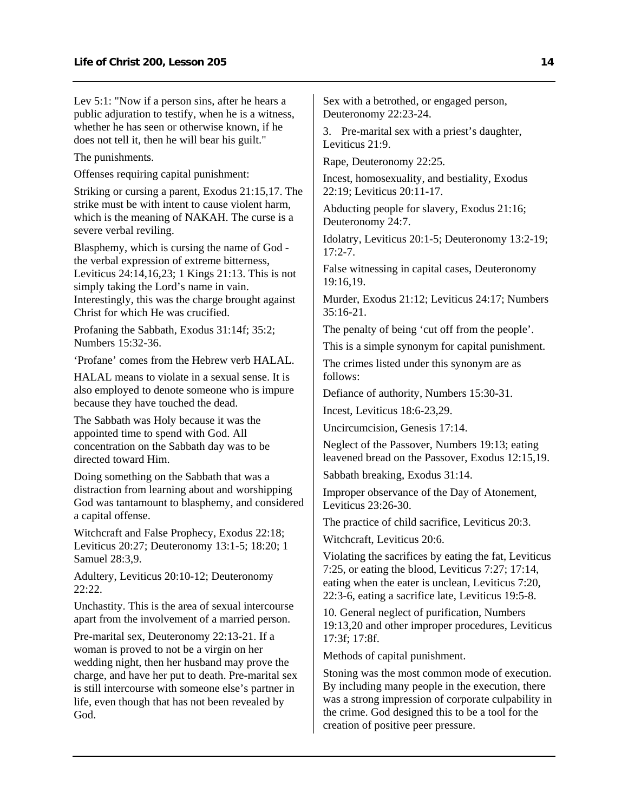Lev 5:1: "Now if a person sins, after he hears a public adjuration to testify, when he is a witness, whether he has seen or otherwise known, if he does not tell it, then he will bear his guilt."

The punishments.

Offenses requiring capital punishment:

Striking or cursing a parent, Exodus 21:15,17. The strike must be with intent to cause violent harm, which is the meaning of NAKAH. The curse is a severe verbal reviling.

Blasphemy, which is cursing the name of God the verbal expression of extreme bitterness, Leviticus 24:14,16,23; 1 Kings 21:13. This is not simply taking the Lord's name in vain. Interestingly, this was the charge brought against Christ for which He was crucified.

Profaning the Sabbath, Exodus 31:14f; 35:2; Numbers 15:32-36.

'Profane' comes from the Hebrew verb HALAL.

HALAL means to violate in a sexual sense. It is also employed to denote someone who is impure because they have touched the dead.

The Sabbath was Holy because it was the appointed time to spend with God. All concentration on the Sabbath day was to be directed toward Him.

Doing something on the Sabbath that was a distraction from learning about and worshipping God was tantamount to blasphemy, and considered a capital offense.

Witchcraft and False Prophecy, Exodus 22:18; Leviticus 20:27; Deuteronomy 13:1-5; 18:20; 1 Samuel 28:3,9.

Adultery, Leviticus 20:10-12; Deuteronomy 22:22.

Unchastity. This is the area of sexual intercourse apart from the involvement of a married person.

Pre-marital sex, Deuteronomy 22:13-21. If a woman is proved to not be a virgin on her wedding night, then her husband may prove the charge, and have her put to death. Pre-marital sex is still intercourse with someone else's partner in life, even though that has not been revealed by God.

Sex with a betrothed, or engaged person, Deuteronomy 22:23-24.

3. Pre-marital sex with a priest's daughter, Leviticus 21:9.

Rape, Deuteronomy 22:25.

Incest, homosexuality, and bestiality, Exodus 22:19; Leviticus 20:11-17.

Abducting people for slavery, Exodus 21:16; Deuteronomy 24:7.

Idolatry, Leviticus 20:1-5; Deuteronomy 13:2-19;  $17:2 - 7$ .

False witnessing in capital cases, Deuteronomy 19:16,19.

Murder, Exodus 21:12; Leviticus 24:17; Numbers 35:16-21.

The penalty of being 'cut off from the people'.

This is a simple synonym for capital punishment.

The crimes listed under this synonym are as follows:

Defiance of authority, Numbers 15:30-31.

Incest, Leviticus 18:6-23,29.

Uncircumcision, Genesis 17:14.

Neglect of the Passover, Numbers 19:13; eating leavened bread on the Passover, Exodus 12:15,19.

Sabbath breaking, Exodus 31:14.

Improper observance of the Day of Atonement, Leviticus 23:26-30.

The practice of child sacrifice, Leviticus 20:3.

Witchcraft, Leviticus 20:6.

Violating the sacrifices by eating the fat, Leviticus 7:25, or eating the blood, Leviticus 7:27; 17:14, eating when the eater is unclean, Leviticus 7:20, 22:3-6, eating a sacrifice late, Leviticus 19:5-8.

10. General neglect of purification, Numbers 19:13,20 and other improper procedures, Leviticus 17:3f; 17:8f.

Methods of capital punishment.

Stoning was the most common mode of execution. By including many people in the execution, there was a strong impression of corporate culpability in the crime. God designed this to be a tool for the creation of positive peer pressure.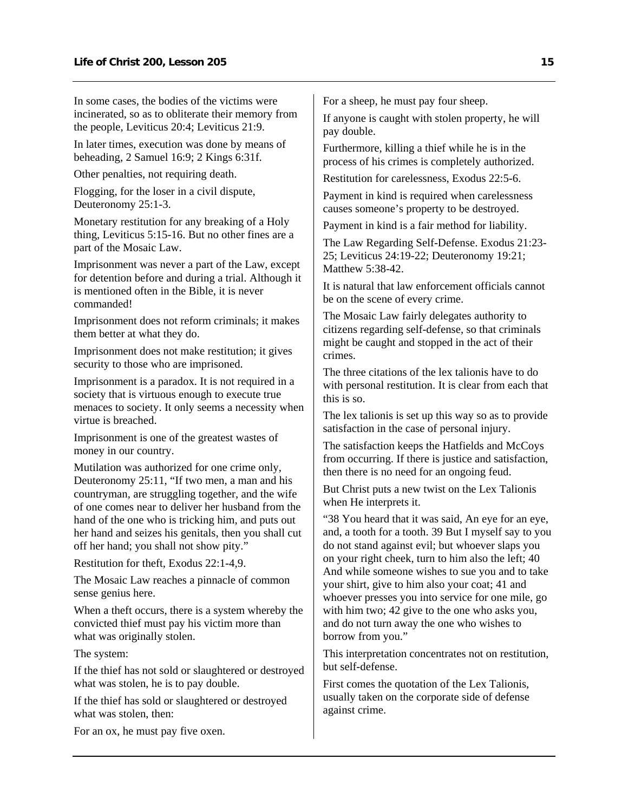In some cases, the bodies of the victims were incinerated, so as to obliterate their memory from the people, Leviticus 20:4; Leviticus 21:9.

In later times, execution was done by means of beheading, 2 Samuel 16:9; 2 Kings 6:31f.

Other penalties, not requiring death.

Flogging, for the loser in a civil dispute, Deuteronomy 25:1-3.

Monetary restitution for any breaking of a Holy thing, Leviticus 5:15-16. But no other fines are a part of the Mosaic Law.

Imprisonment was never a part of the Law, except for detention before and during a trial. Although it is mentioned often in the Bible, it is never commanded!

Imprisonment does not reform criminals; it makes them better at what they do.

Imprisonment does not make restitution; it gives security to those who are imprisoned.

Imprisonment is a paradox. It is not required in a society that is virtuous enough to execute true menaces to society. It only seems a necessity when virtue is breached.

Imprisonment is one of the greatest wastes of money in our country.

Mutilation was authorized for one crime only, Deuteronomy 25:11, "If two men, a man and his countryman, are struggling together, and the wife of one comes near to deliver her husband from the hand of the one who is tricking him, and puts out her hand and seizes his genitals, then you shall cut off her hand; you shall not show pity."

Restitution for theft, Exodus 22:1-4,9.

The Mosaic Law reaches a pinnacle of common sense genius here.

When a theft occurs, there is a system whereby the convicted thief must pay his victim more than what was originally stolen.

The system:

If the thief has not sold or slaughtered or destroyed what was stolen, he is to pay double.

If the thief has sold or slaughtered or destroyed what was stolen, then:

For an ox, he must pay five oxen.

For a sheep, he must pay four sheep.

If anyone is caught with stolen property, he will pay double.

Furthermore, killing a thief while he is in the process of his crimes is completely authorized.

Restitution for carelessness, Exodus 22:5-6.

Payment in kind is required when carelessness causes someone's property to be destroyed.

Payment in kind is a fair method for liability.

The Law Regarding Self-Defense. Exodus 21:23- 25; Leviticus 24:19-22; Deuteronomy 19:21; Matthew 5:38-42.

It is natural that law enforcement officials cannot be on the scene of every crime.

The Mosaic Law fairly delegates authority to citizens regarding self-defense, so that criminals might be caught and stopped in the act of their crimes.

The three citations of the lex talionis have to do with personal restitution. It is clear from each that this is so.

The lex talionis is set up this way so as to provide satisfaction in the case of personal injury.

The satisfaction keeps the Hatfields and McCoys from occurring. If there is justice and satisfaction, then there is no need for an ongoing feud.

But Christ puts a new twist on the Lex Talionis when He interprets it.

"38 You heard that it was said, An eye for an eye, and, a tooth for a tooth. 39 But I myself say to you do not stand against evil; but whoever slaps you on your right cheek, turn to him also the left; 40 And while someone wishes to sue you and to take your shirt, give to him also your coat; 41 and whoever presses you into service for one mile, go with him two; 42 give to the one who asks you, and do not turn away the one who wishes to borrow from you."

This interpretation concentrates not on restitution, but self-defense.

First comes the quotation of the Lex Talionis, usually taken on the corporate side of defense against crime.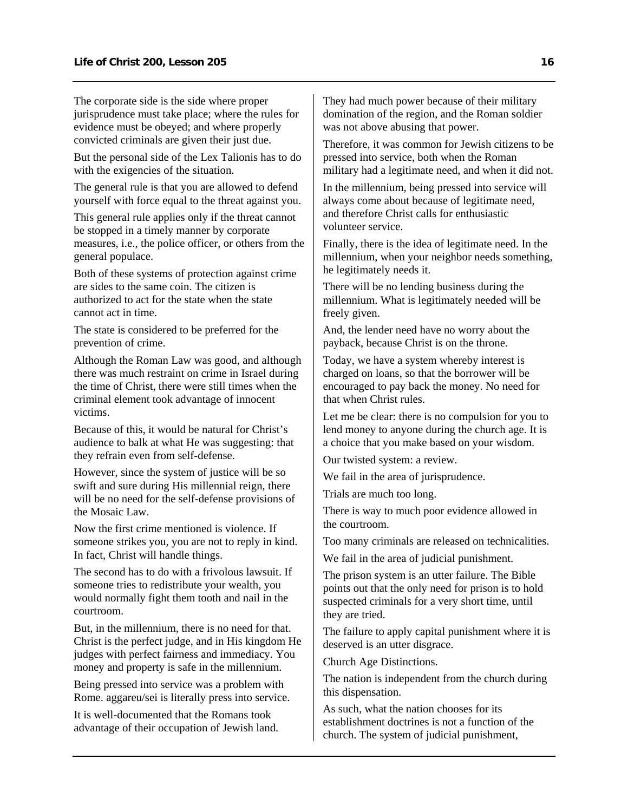The corporate side is the side where proper jurisprudence must take place; where the rules for evidence must be obeyed; and where properly convicted criminals are given their just due.

But the personal side of the Lex Talionis has to do with the exigencies of the situation.

The general rule is that you are allowed to defend yourself with force equal to the threat against you.

This general rule applies only if the threat cannot be stopped in a timely manner by corporate measures, i.e., the police officer, or others from the general populace.

Both of these systems of protection against crime are sides to the same coin. The citizen is authorized to act for the state when the state cannot act in time.

The state is considered to be preferred for the prevention of crime.

Although the Roman Law was good, and although there was much restraint on crime in Israel during the time of Christ, there were still times when the criminal element took advantage of innocent victims.

Because of this, it would be natural for Christ's audience to balk at what He was suggesting: that they refrain even from self-defense.

However, since the system of justice will be so swift and sure during His millennial reign, there will be no need for the self-defense provisions of the Mosaic Law.

Now the first crime mentioned is violence. If someone strikes you, you are not to reply in kind. In fact, Christ will handle things.

The second has to do with a frivolous lawsuit. If someone tries to redistribute your wealth, you would normally fight them tooth and nail in the courtroom.

But, in the millennium, there is no need for that. Christ is the perfect judge, and in His kingdom He judges with perfect fairness and immediacy. You money and property is safe in the millennium.

Being pressed into service was a problem with Rome. aggareu/sei is literally press into service.

It is well-documented that the Romans took advantage of their occupation of Jewish land. They had much power because of their military domination of the region, and the Roman soldier was not above abusing that power.

Therefore, it was common for Jewish citizens to be pressed into service, both when the Roman military had a legitimate need, and when it did not.

In the millennium, being pressed into service will always come about because of legitimate need, and therefore Christ calls for enthusiastic volunteer service.

Finally, there is the idea of legitimate need. In the millennium, when your neighbor needs something, he legitimately needs it.

There will be no lending business during the millennium. What is legitimately needed will be freely given.

And, the lender need have no worry about the payback, because Christ is on the throne.

Today, we have a system whereby interest is charged on loans, so that the borrower will be encouraged to pay back the money. No need for that when Christ rules.

Let me be clear: there is no compulsion for you to lend money to anyone during the church age. It is a choice that you make based on your wisdom.

Our twisted system: a review.

We fail in the area of jurisprudence.

Trials are much too long.

There is way to much poor evidence allowed in the courtroom.

Too many criminals are released on technicalities.

We fail in the area of judicial punishment.

The prison system is an utter failure. The Bible points out that the only need for prison is to hold suspected criminals for a very short time, until they are tried.

The failure to apply capital punishment where it is deserved is an utter disgrace.

Church Age Distinctions.

The nation is independent from the church during this dispensation.

As such, what the nation chooses for its establishment doctrines is not a function of the church. The system of judicial punishment,